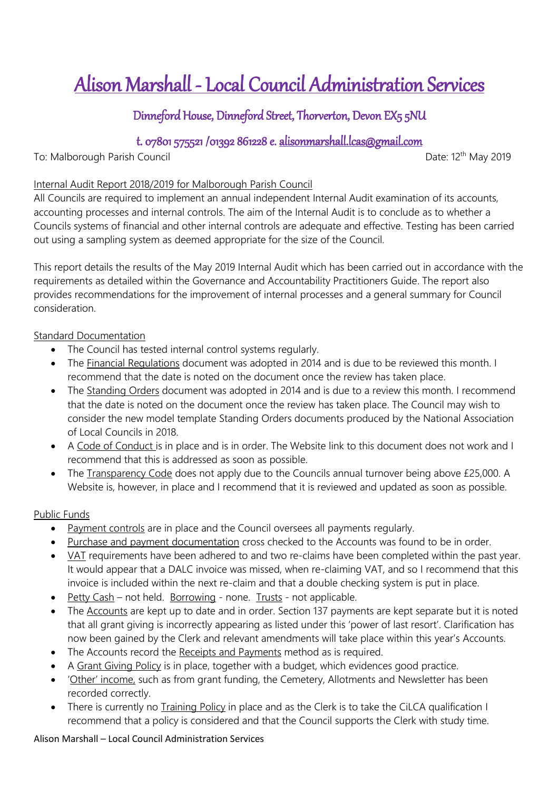# Alison Marshall - Local Council Administration Services

# Dinneford House, Dinneford Street, Thorverton, Devon EX5 5NU

# t. 07801 575521 /01392 861228 e. [alisonmarshall.lcas@gmail.com](mailto:alisonmarshall.lcas@gmail.com)

To: Malborough Parish Council and the state of the Date: 12<sup>th</sup> May 2019

## Internal Audit Report 2018/2019 for Malborough Parish Council

All Councils are required to implement an annual independent Internal Audit examination of its accounts, accounting processes and internal controls. The aim of the Internal Audit is to conclude as to whether a Councils systems of financial and other internal controls are adequate and effective. Testing has been carried out using a sampling system as deemed appropriate for the size of the Council.

This report details the results of the May 2019 Internal Audit which has been carried out in accordance with the requirements as detailed within the Governance and Accountability Practitioners Guide. The report also provides recommendations for the improvement of internal processes and a general summary for Council consideration.

## Standard Documentation

- The Council has tested internal control systems regularly.
- The Financial Regulations document was adopted in 2014 and is due to be reviewed this month. I recommend that the date is noted on the document once the review has taken place.
- The Standing Orders document was adopted in 2014 and is due to a review this month. I recommend that the date is noted on the document once the review has taken place. The Council may wish to consider the new model template Standing Orders documents produced by the National Association of Local Councils in 2018.
- A Code of Conduct is in place and is in order. The Website link to this document does not work and I recommend that this is addressed as soon as possible.
- The Transparency Code does not apply due to the Councils annual turnover being above £25,000. A Website is, however, in place and I recommend that it is reviewed and updated as soon as possible.

## Public Funds

- Payment controls are in place and the Council oversees all payments regularly.
- Purchase and payment documentation cross checked to the Accounts was found to be in order.
- VAT requirements have been adhered to and two re-claims have been completed within the past year. It would appear that a DALC invoice was missed, when re-claiming VAT, and so I recommend that this invoice is included within the next re-claim and that a double checking system is put in place.
- Petty Cash not held. Borrowing none. Trusts not applicable.
- The Accounts are kept up to date and in order. Section 137 payments are kept separate but it is noted that all grant giving is incorrectly appearing as listed under this 'power of last resort'. Clarification has now been gained by the Clerk and relevant amendments will take place within this year's Accounts.
- The Accounts record the Receipts and Payments method as is required.
- A Grant Giving Policy is in place, together with a budget, which evidences good practice.
- 'Other' income, such as from grant funding, the Cemetery, Allotments and Newsletter has been recorded correctly.
- There is currently no Training Policy in place and as the Clerk is to take the CiLCA qualification I recommend that a policy is considered and that the Council supports the Clerk with study time.

#### Alison Marshall – Local Council Administration Services